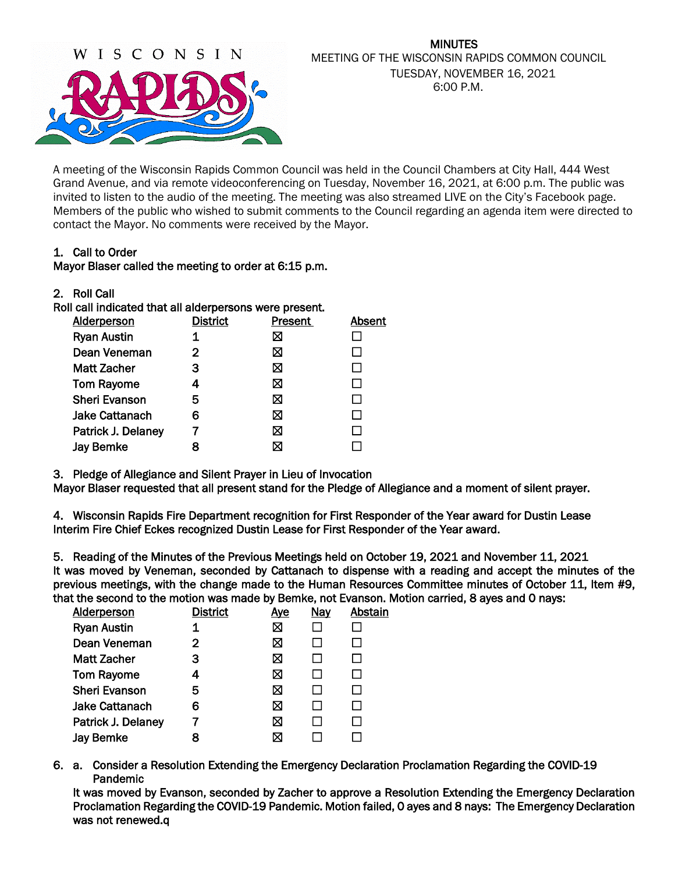

#### MINUTES MEETING OF THE WISCONSIN RAPIDS COMMON COUNCIL TUESDAY, NOVEMBER 16, 2021 6:00 P.M.

A meeting of the Wisconsin Rapids Common Council was held in the Council Chambers at City Hall, 444 West Grand Avenue, and via remote videoconferencing on Tuesday, November 16, 2021, at 6:00 p.m. The public was invited to listen to the audio of the meeting. The meeting was also streamed LIVE on the City's Facebook page. Members of the public who wished to submit comments to the Council regarding an agenda item were directed to contact the Mayor. No comments were received by the Mayor.

## 1. Call to Order

#### Mayor Blaser called the meeting to order at 6:15 p.m.

| 2. | <b>Roll Call</b> |  |
|----|------------------|--|
|----|------------------|--|

| Roll call indicated that all alderpersons were present. |                 |         |        |
|---------------------------------------------------------|-----------------|---------|--------|
| <b>Alderperson</b>                                      | <b>District</b> | Present | Absent |
| <b>Ryan Austin</b>                                      |                 | ⊠       |        |
| Dean Veneman                                            | 2               | ⊠       |        |
| Matt Zacher                                             | З               | ⊠       |        |
| <b>Tom Rayome</b>                                       | 4               | ⊠       |        |
| <b>Sheri Evanson</b>                                    | 5               | ⊠       |        |
| Jake Cattanach                                          | 6               | ⊠       |        |
| Patrick J. Delaney                                      |                 | ⊠       |        |
| <b>Jay Bemke</b>                                        |                 | X       |        |
|                                                         |                 |         |        |

3. Pledge of Allegiance and Silent Prayer in Lieu of Invocation

Mayor Blaser requested that all present stand for the Pledge of Allegiance and a moment of silent prayer.

4. Wisconsin Rapids Fire Department recognition for First Responder of the Year award for Dustin Lease Interim Fire Chief Eckes recognized Dustin Lease for First Responder of the Year award.

5. Reading of the Minutes of the Previous Meetings held on October 19, 2021 and November 11, 2021 It was moved by Veneman, seconded by Cattanach to dispense with a reading and accept the minutes of the previous meetings, with the change made to the Human Resources Committee minutes of October 11, Item #9, that the second to the motion was made by Bemke, not Evanson. Motion carried, 8 ayes and 0 nays:

| <b>Alderperson</b>    | <b>District</b> | <u>Aye</u> | <b>Nay</b> | Abstain |
|-----------------------|-----------------|------------|------------|---------|
| <b>Ryan Austin</b>    |                 | ⊠          |            |         |
| Dean Veneman          | 2               | ⊠          |            |         |
| <b>Matt Zacher</b>    | З               | ⊠          |            |         |
| <b>Tom Rayome</b>     | 4               | ⊠          |            |         |
| <b>Sheri Evanson</b>  | 5               | ⊠          |            |         |
| <b>Jake Cattanach</b> | 6               | ⊠          |            |         |
| Patrick J. Delaney    |                 | ⊠          |            |         |
| <b>Jay Bemke</b>      |                 | ⊠          |            |         |

6. a. Consider a Resolution Extending the Emergency Declaration Proclamation Regarding the COVID-19 Pandemic

It was moved by Evanson, seconded by Zacher to approve a Resolution Extending the Emergency Declaration Proclamation Regarding the COVID-19 Pandemic. Motion failed, 0 ayes and 8 nays: The Emergency Declaration was not renewed.q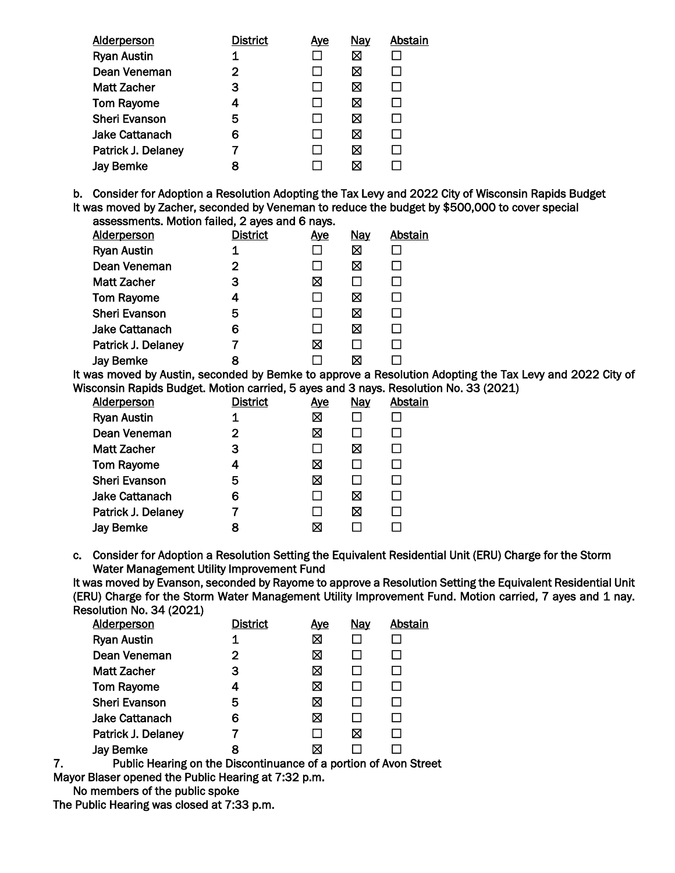| <b>District</b> | <u>Ave</u> | <b>Nay</b> | Abstain |
|-----------------|------------|------------|---------|
|                 |            | ⊠          |         |
| 2               | ΙI         | ⊠          |         |
| 3               | $\Box$     | ⊠          |         |
| 4               | ΙI         | ⊠          |         |
| 5               | ΙI         | ⊠          |         |
| 6               | l 1        | ⊠          |         |
|                 |            | ⊠          |         |
| 8               |            | ⊠          |         |
|                 |            |            |         |

b. Consider for Adoption a Resolution Adopting the Tax Levy and 2022 City of Wisconsin Rapids Budget It was moved by Zacher, seconded by Veneman to reduce the budget by \$500,000 to cover special assessments. Motion failed, 2 ayes and 6 nays.

| Alderperson           | <b>District</b> | <u>Aye</u> | <b>Nay</b> | Abstain |
|-----------------------|-----------------|------------|------------|---------|
| <b>Ryan Austin</b>    | 1               |            | ⊠          |         |
| Dean Veneman          | 2               |            | ⊠          |         |
| <b>Matt Zacher</b>    | з               | ⊠          |            |         |
| <b>Tom Rayome</b>     | 4               |            | ⊠          |         |
| <b>Sheri Evanson</b>  | 5               |            | ⊠          |         |
| <b>Jake Cattanach</b> | 6               |            | ⊠          |         |
| Patrick J. Delaney    |                 | ⊠          | П          |         |
| <b>Jay Bemke</b>      |                 |            | ⊠          |         |
|                       |                 |            |            |         |

It was moved by Austin, seconded by Bemke to approve a Resolution Adopting the Tax Levy and 2022 City of Wisconsin Rapids Budget. Motion carried, 5 ayes and 3 nays. Resolution No. 33 (2021)

| <b>Alderperson</b>    | <b>District</b> | <u>Aye</u> | <b>Nay</b> | Abstain |
|-----------------------|-----------------|------------|------------|---------|
| <b>Ryan Austin</b>    |                 | 区          |            |         |
| Dean Veneman          | 2               | 区          |            |         |
| <b>Matt Zacher</b>    | 3               | П          | ⊠          |         |
| <b>Tom Rayome</b>     | 4               | ⊠          |            |         |
| <b>Sheri Evanson</b>  | 5               | ⊠          |            |         |
| <b>Jake Cattanach</b> | 6               | $\Box$     | ⊠          |         |
| Patrick J. Delaney    | 7               | П          | ⊠          |         |
| <b>Jay Bemke</b>      | 8               | ⊠          |            |         |

c. Consider for Adoption a Resolution Setting the Equivalent Residential Unit (ERU) Charge for the Storm Water Management Utility Improvement Fund

It was moved by Evanson, seconded by Rayome to approve a Resolution Setting the Equivalent Residential Unit (ERU) Charge for the Storm Water Management Utility Improvement Fund. Motion carried, 7 ayes and 1 nay. Resolution No. 34 (2021)

| <b>Alderperson</b>    | <b>District</b> | <u>Aye</u> | <b>Nay</b> | Abstain |
|-----------------------|-----------------|------------|------------|---------|
| <b>Ryan Austin</b>    | 1               | ⊠          |            |         |
| Dean Veneman          | $\mathbf{2}$    | ⊠          |            |         |
| <b>Matt Zacher</b>    | 3               | ⊠          |            |         |
| <b>Tom Rayome</b>     | 4               | ⊠          |            |         |
| <b>Sheri Evanson</b>  | 5               | ⊠          |            |         |
| <b>Jake Cattanach</b> | 6               | ⊠          | $\Box$     |         |
| Patrick J. Delaney    |                 | $\Box$     | ⊠          |         |
| <b>Jay Bemke</b>      | 8               | ⊠          |            |         |
|                       |                 |            |            |         |

7. Public Hearing on the Discontinuance of a portion of Avon Street

Mayor Blaser opened the Public Hearing at 7:32 p.m.

No members of the public spoke

The Public Hearing was closed at 7:33 p.m.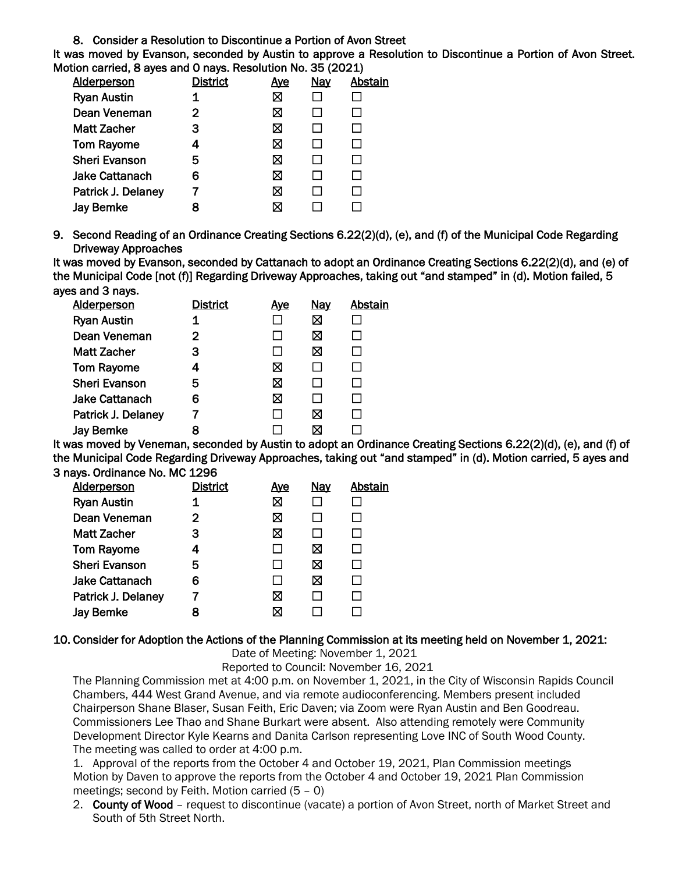8. Consider a Resolution to Discontinue a Portion of Avon Street

It was moved by Evanson, seconded by Austin to approve a Resolution to Discontinue a Portion of Avon Street. Motion carried, 8 ayes and 0 nays. Resolution No. 35 (2021)

| District | <u>Aye</u> | <b>Nay</b> | Abstain |
|----------|------------|------------|---------|
| 1        | ⊠          |            |         |
| 2        | ⊠          |            |         |
| 3        | ⊠          |            |         |
| 4        | Ø          |            |         |
| 5        | ⊠          |            |         |
| 6        | ⊠          |            |         |
|          | ⊠          |            |         |
| 8        | ⊠          |            |         |
|          |            |            |         |

9. Second Reading of an Ordinance Creating Sections 6.22(2)(d), (e), and (f) of the Municipal Code Regarding Driveway Approaches

It was moved by Evanson, seconded by Cattanach to adopt an Ordinance Creating Sections 6.22(2)(d), and (e) of the Municipal Code [not (f)] Regarding Driveway Approaches, taking out "and stamped" in (d). Motion failed, 5 ayes and 3 nays**.**

| <b>Alderperson</b>    | <b>District</b> | <u>Ave</u> | <b>Nay</b> | Abstain |
|-----------------------|-----------------|------------|------------|---------|
| <b>Ryan Austin</b>    |                 |            | ⊠          |         |
| Dean Veneman          | 2               |            | ⊠          |         |
| <b>Matt Zacher</b>    | з               |            | ⊠          |         |
| <b>Tom Rayome</b>     | 4               | ⊠          |            |         |
| <b>Sheri Evanson</b>  | 5               | ⊠          |            |         |
| <b>Jake Cattanach</b> | 6               | ⊠          |            |         |
| Patrick J. Delaney    |                 |            | ⊠          |         |
| <b>Jay Bemke</b>      | 8               |            |            |         |

It was moved by Veneman, seconded by Austin to adopt an Ordinance Creating Sections 6.22(2)(d), (e), and (f) of the Municipal Code Regarding Driveway Approaches, taking out "and stamped" in (d). Motion carried, 5 ayes and 3 nays**.** Ordinance No. MC 1296

| <b>Alderperson</b>    | District | <u>Ave</u> | <b>Nay</b> | Abstain |
|-----------------------|----------|------------|------------|---------|
| <b>Ryan Austin</b>    | 1        | ⊠          |            |         |
| Dean Veneman          | 2        | ⊠          |            |         |
| Matt Zacher           | 3        | ⊠          |            |         |
| <b>Tom Rayome</b>     | 4        |            | ⊠          |         |
| <b>Sheri Evanson</b>  | 5        |            | ⊠          |         |
| <b>Jake Cattanach</b> | 6        |            | ⊠          |         |
| Patrick J. Delaney    |          | ⊠          |            |         |
| <b>Jay Bemke</b>      | 8        | ⊠          |            |         |
|                       |          |            |            |         |

## 10. Consider for Adoption the Actions of the Planning Commission at its meeting held on November 1, 2021:

Date of Meeting: November 1, 2021

Reported to Council: November 16, 2021

The Planning Commission met at 4:00 p.m. on November 1, 2021, in the City of Wisconsin Rapids Council Chambers, 444 West Grand Avenue, and via remote audioconferencing. Members present included Chairperson Shane Blaser, Susan Feith, Eric Daven; via Zoom were Ryan Austin and Ben Goodreau. Commissioners Lee Thao and Shane Burkart were absent. Also attending remotely were Community Development Director Kyle Kearns and Danita Carlson representing Love INC of South Wood County. The meeting was called to order at 4:00 p.m.

1. Approval of the reports from the October 4 and October 19, 2021, Plan Commission meetings Motion by Daven to approve the reports from the October 4 and October 19, 2021 Plan Commission meetings; second by Feith. Motion carried (5 – 0)

2. County of Wood – request to discontinue (vacate) a portion of Avon Street, north of Market Street and South of 5th Street North.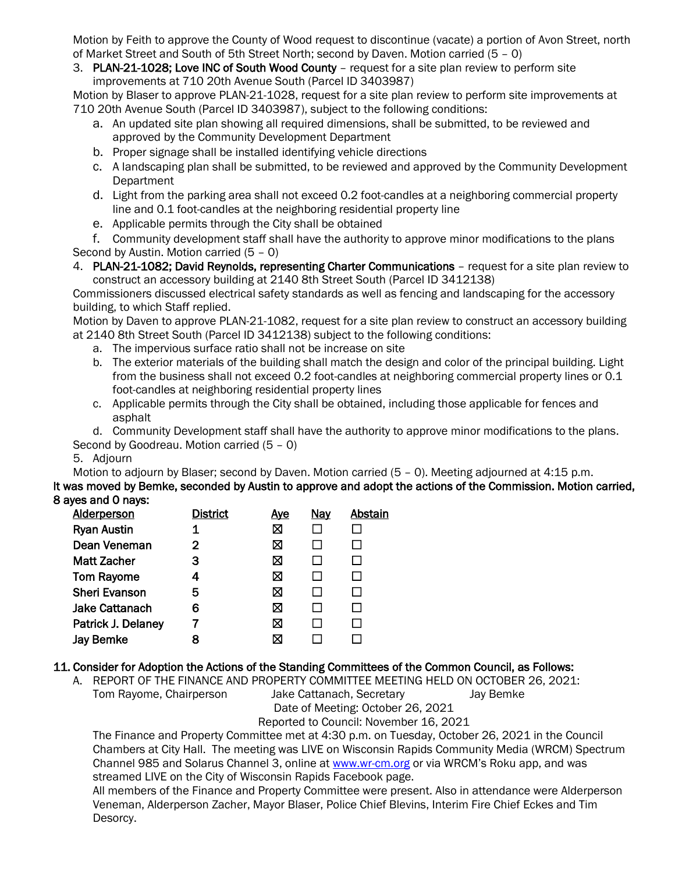Motion by Feith to approve the County of Wood request to discontinue (vacate) a portion of Avon Street, north of Market Street and South of 5th Street North; second by Daven. Motion carried (5 – 0)

3. PLAN-21-1028; Love INC of South Wood County – request for a site plan review to perform site improvements at 710 20th Avenue South (Parcel ID 3403987)

Motion by Blaser to approve PLAN-21-1028, request for a site plan review to perform site improvements at 710 20th Avenue South (Parcel ID 3403987), subject to the following conditions:

- a. An updated site plan showing all required dimensions, shall be submitted, to be reviewed and approved by the Community Development Department
- b. Proper signage shall be installed identifying vehicle directions
- c. A landscaping plan shall be submitted, to be reviewed and approved by the Community Development **Department**
- d. Light from the parking area shall not exceed 0.2 foot-candles at a neighboring commercial property line and 0.1 foot-candles at the neighboring residential property line
- e. Applicable permits through the City shall be obtained

f. Community development staff shall have the authority to approve minor modifications to the plans Second by Austin. Motion carried (5 – 0)

4. PLAN-21-1082; David Reynolds, representing Charter Communications – request for a site plan review to construct an accessory building at 2140 8th Street South (Parcel ID 3412138)

Commissioners discussed electrical safety standards as well as fencing and landscaping for the accessory building, to which Staff replied.

Motion by Daven to approve PLAN-21-1082, request for a site plan review to construct an accessory building at 2140 8th Street South (Parcel ID 3412138) subject to the following conditions:

- a. The impervious surface ratio shall not be increase on site
- b. The exterior materials of the building shall match the design and color of the principal building. Light from the business shall not exceed 0.2 foot-candles at neighboring commercial property lines or 0.1 foot-candles at neighboring residential property lines
- c. Applicable permits through the City shall be obtained, including those applicable for fences and asphalt

d. Community Development staff shall have the authority to approve minor modifications to the plans. Second by Goodreau. Motion carried (5 – 0)

# 5. Adjourn

Motion to adjourn by Blaser; second by Daven. Motion carried (5 – 0). Meeting adjourned at 4:15 p.m.

It was moved by Bemke, seconded by Austin to approve and adopt the actions of the Commission. Motion carried, 8 ayes and 0 nays:

| <b>Alderperson</b>    | <b>District</b> | <u>Ave</u> | <u>Nay</u> | Abstain |
|-----------------------|-----------------|------------|------------|---------|
| <b>Ryan Austin</b>    |                 | ⊠          |            |         |
| Dean Veneman          | 2               | ⊠          |            |         |
| <b>Matt Zacher</b>    | 3               | ⊠          |            |         |
| <b>Tom Rayome</b>     | 4               | ⊠          |            |         |
| <b>Sheri Evanson</b>  | 5               | ⊠          |            |         |
| <b>Jake Cattanach</b> | 6               | ⊠          |            |         |
| Patrick J. Delaney    |                 | ⊠          |            |         |
| <b>Jay Bemke</b>      |                 | ⊠          |            |         |

# 11. Consider for Adoption the Actions of the Standing Committees of the Common Council, as Follows:

A. REPORT OF THE FINANCE AND PROPERTY COMMITTEE MEETING HELD ON OCTOBER 26, 2021: Tom Rayome, Chairperson Jake Cattanach, Secretary Jay Bemke Date of Meeting: October 26, 2021

Reported to Council: November 16, 2021

The Finance and Property Committee met at 4:30 p.m. on Tuesday, October 26, 2021 in the Council Chambers at City Hall. The meeting was LIVE on Wisconsin Rapids Community Media (WRCM) Spectrum Channel 985 and Solarus Channel 3, online a[t www.wr-cm.org](http://www.wr-cm.org/) or via WRCM's Roku app, and was streamed LIVE on the City of Wisconsin Rapids Facebook page.

All members of the Finance and Property Committee were present. Also in attendance were Alderperson Veneman, Alderperson Zacher, Mayor Blaser, Police Chief Blevins, Interim Fire Chief Eckes and Tim Desorcy.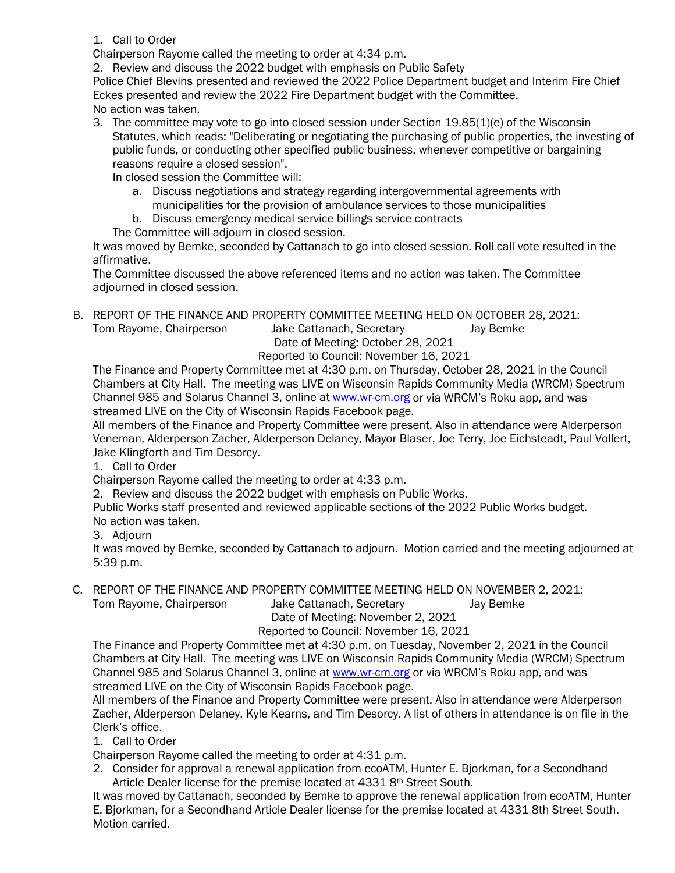## 1. Call to Order

Chairperson Rayome called the meeting to order at 4:34 p.m.

2. Review and discuss the 2022 budget with emphasis on Public Safety

Police Chief Blevins presented and reviewed the 2022 Police Department budget and Interim Fire Chief Eckes presented and review the 2022 Fire Department budget with the Committee. No action was taken.

3. The committee may vote to go into closed session under Section 19.85(1)(e) of the Wisconsin Statutes, which reads: "Deliberating or negotiating the purchasing of public properties, the investing of public funds, or conducting other specified public business, whenever competitive or bargaining reasons require a closed session".

In closed session the Committee will:

- a. Discuss negotiations and strategy regarding intergovernmental agreements with municipalities for the provision of ambulance services to those municipalities
- b. Discuss emergency medical service billings service contracts

The Committee will adjourn in closed session.

It was moved by Bemke, seconded by Cattanach to go into closed session. Roll call vote resulted in the affirmative.

The Committee discussed the above referenced items and no action was taken. The Committee adjourned in closed session.

B. REPORT OF THE FINANCE AND PROPERTY COMMITTEE MEETING HELD ON OCTOBER 28, 2021: Tom Rayome, Chairperson Jake Cattanach, Secretary Jay Bemke Date of Meeting: October 28, 2021

Reported to Council: November 16, 2021

The Finance and Property Committee met at 4:30 p.m. on Thursday, October 28, 2021 in the Council Chambers at City Hall. The meeting was LIVE on Wisconsin Rapids Community Media (WRCM) Spectrum Channel 985 and Solarus Channel 3, online a[t www.wr-cm.org](http://www.wr-cm.org/) or via WRCM's Roku app, and was streamed LIVE on the City of Wisconsin Rapids Facebook page.

All members of the Finance and Property Committee were present. Also in attendance were Alderperson Veneman, Alderperson Zacher, Alderperson Delaney, Mayor Blaser, Joe Terry, Joe Eichsteadt, Paul Vollert, Jake Klingforth and Tim Desorcy.

1. Call to Order

Chairperson Rayome called the meeting to order at 4:33 p.m.

2. Review and discuss the 2022 budget with emphasis on Public Works.

Public Works staff presented and reviewed applicable sections of the 2022 Public Works budget. No action was taken.

3. Adjourn

It was moved by Bemke, seconded by Cattanach to adjourn. Motion carried and the meeting adjourned at 5:39 p.m.

C. REPORT OF THE FINANCE AND PROPERTY COMMITTEE MEETING HELD ON NOVEMBER 2, 2021:

Tom Rayome, Chairperson Jake Cattanach, Secretary Jay Bemke Date of Meeting: November 2, 2021

Reported to Council: November 16, 2021

The Finance and Property Committee met at 4:30 p.m. on Tuesday, November 2, 2021 in the Council Chambers at City Hall. The meeting was LIVE on Wisconsin Rapids Community Media (WRCM) Spectrum Channel 985 and Solarus Channel 3, online a[t www.wr-cm.org](http://www.wr-cm.org/) or via WRCM's Roku app, and was streamed LIVE on the City of Wisconsin Rapids Facebook page.

All members of the Finance and Property Committee were present. Also in attendance were Alderperson Zacher, Alderperson Delaney, Kyle Kearns, and Tim Desorcy. A list of others in attendance is on file in the Clerk's office.

1. Call to Order

Chairperson Rayome called the meeting to order at 4:31 p.m.

2. Consider for approval a renewal application from ecoATM, Hunter E. Bjorkman, for a Secondhand Article Dealer license for the premise located at 4331 8<sup>th</sup> Street South.

It was moved by Cattanach, seconded by Bemke to approve the renewal application from ecoATM, Hunter E. Bjorkman, for a Secondhand Article Dealer license for the premise located at 4331 8th Street South. Motion carried.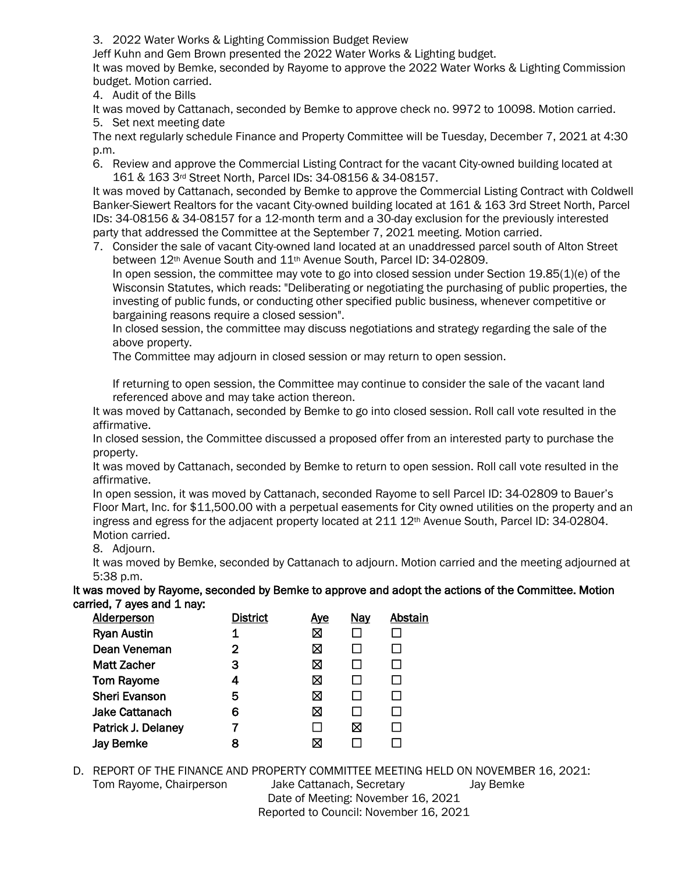3. 2022 Water Works & Lighting Commission Budget Review

Jeff Kuhn and Gem Brown presented the 2022 Water Works & Lighting budget.

It was moved by Bemke, seconded by Rayome to approve the 2022 Water Works & Lighting Commission budget. Motion carried.

4. Audit of the Bills

It was moved by Cattanach, seconded by Bemke to approve check no. 9972 to 10098. Motion carried. 5. Set next meeting date

The next regularly schedule Finance and Property Committee will be Tuesday, December 7, 2021 at 4:30 p.m.

6. Review and approve the Commercial Listing Contract for the vacant City-owned building located at 161 & 163 3rd Street North, Parcel IDs: 34-08156 & 34-08157.

It was moved by Cattanach, seconded by Bemke to approve the Commercial Listing Contract with Coldwell Banker-Siewert Realtors for the vacant City-owned building located at 161 & 163 3rd Street North, Parcel IDs: 34-08156 & 34-08157 for a 12-month term and a 30-day exclusion for the previously interested party that addressed the Committee at the September 7, 2021 meeting. Motion carried.

7. Consider the sale of vacant City-owned land located at an unaddressed parcel south of Alton Street between 12<sup>th</sup> Avenue South and 11<sup>th</sup> Avenue South, Parcel ID: 34-02809.

In open session, the committee may vote to go into closed session under Section 19.85(1)(e) of the Wisconsin Statutes, which reads: "Deliberating or negotiating the purchasing of public properties, the investing of public funds, or conducting other specified public business, whenever competitive or bargaining reasons require a closed session".

In closed session, the committee may discuss negotiations and strategy regarding the sale of the above property.

The Committee may adjourn in closed session or may return to open session.

If returning to open session, the Committee may continue to consider the sale of the vacant land referenced above and may take action thereon.

It was moved by Cattanach, seconded by Bemke to go into closed session. Roll call vote resulted in the affirmative.

In closed session, the Committee discussed a proposed offer from an interested party to purchase the property.

It was moved by Cattanach, seconded by Bemke to return to open session. Roll call vote resulted in the affirmative.

In open session, it was moved by Cattanach, seconded Rayome to sell Parcel ID: 34-02809 to Bauer's Floor Mart, Inc. for \$11,500.00 with a perpetual easements for City owned utilities on the property and an ingress and egress for the adjacent property located at 211 12<sup>th</sup> Avenue South, Parcel ID: 34-02804. Motion carried.

8. Adjourn.

It was moved by Bemke, seconded by Cattanach to adjourn. Motion carried and the meeting adjourned at 5:38 p.m.

It was moved by Rayome, seconded by Bemke to approve and adopt the actions of the Committee. Motion carried, 7 ayes and 1 nay:

| <b>District</b> | <u>Aye</u> | <b>Nay</b> | Abstain |
|-----------------|------------|------------|---------|
| 1               | ⊠          |            |         |
| 2               | ⊠          |            |         |
| 3               | ⊠          |            |         |
| 4               | ⊠          |            |         |
| 5               | ⊠          |            |         |
| 6               | ⊠          |            |         |
|                 | l 1        | ⊠          |         |
| 8               | ⊠          |            |         |
|                 |            |            |         |

D. REPORT OF THE FINANCE AND PROPERTY COMMITTEE MEETING HELD ON NOVEMBER 16, 2021:

Tom Rayome, Chairperson Jake Cattanach, Secretary Jay Bemke Date of Meeting: November 16, 2021 Reported to Council: November 16, 2021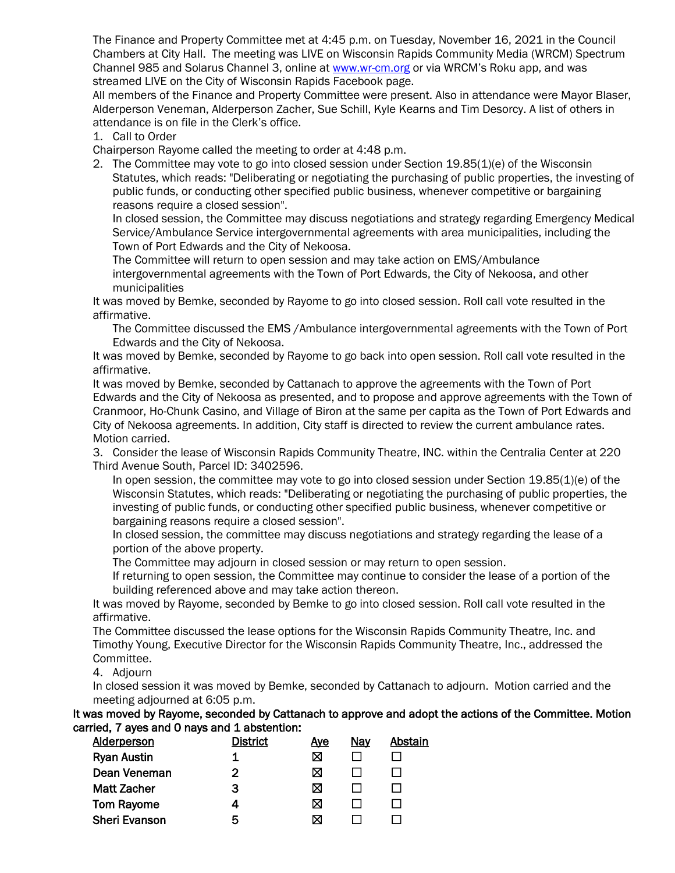The Finance and Property Committee met at 4:45 p.m. on Tuesday, November 16, 2021 in the Council Chambers at City Hall. The meeting was LIVE on Wisconsin Rapids Community Media (WRCM) Spectrum Channel 985 and Solarus Channel 3, online a[t www.wr-cm.org](http://www.wr-cm.org/) or via WRCM's Roku app, and was streamed LIVE on the City of Wisconsin Rapids Facebook page.

All members of the Finance and Property Committee were present. Also in attendance were Mayor Blaser, Alderperson Veneman, Alderperson Zacher, Sue Schill, Kyle Kearns and Tim Desorcy. A list of others in attendance is on file in the Clerk's office.

1. Call to Order

Chairperson Rayome called the meeting to order at 4:48 p.m.

2. The Committee may vote to go into closed session under Section 19.85(1)(e) of the Wisconsin Statutes, which reads: "Deliberating or negotiating the purchasing of public properties, the investing of public funds, or conducting other specified public business, whenever competitive or bargaining reasons require a closed session".

In closed session, the Committee may discuss negotiations and strategy regarding Emergency Medical Service/Ambulance Service intergovernmental agreements with area municipalities, including the Town of Port Edwards and the City of Nekoosa.

The Committee will return to open session and may take action on EMS/Ambulance intergovernmental agreements with the Town of Port Edwards, the City of Nekoosa, and other municipalities

It was moved by Bemke, seconded by Rayome to go into closed session. Roll call vote resulted in the affirmative.

The Committee discussed the EMS /Ambulance intergovernmental agreements with the Town of Port Edwards and the City of Nekoosa.

It was moved by Bemke, seconded by Rayome to go back into open session. Roll call vote resulted in the affirmative.

It was moved by Bemke, seconded by Cattanach to approve the agreements with the Town of Port Edwards and the City of Nekoosa as presented, and to propose and approve agreements with the Town of Cranmoor, Ho-Chunk Casino, and Village of Biron at the same per capita as the Town of Port Edwards and City of Nekoosa agreements. In addition, City staff is directed to review the current ambulance rates. Motion carried.

3. Consider the lease of Wisconsin Rapids Community Theatre, INC. within the Centralia Center at 220 Third Avenue South, Parcel ID: 3402596.

In open session, the committee may vote to go into closed session under Section 19.85(1)(e) of the Wisconsin Statutes, which reads: "Deliberating or negotiating the purchasing of public properties, the investing of public funds, or conducting other specified public business, whenever competitive or bargaining reasons require a closed session".

In closed session, the committee may discuss negotiations and strategy regarding the lease of a portion of the above property.

The Committee may adjourn in closed session or may return to open session.

If returning to open session, the Committee may continue to consider the lease of a portion of the building referenced above and may take action thereon.

It was moved by Rayome, seconded by Bemke to go into closed session. Roll call vote resulted in the affirmative.

The Committee discussed the lease options for the Wisconsin Rapids Community Theatre, Inc. and Timothy Young, Executive Director for the Wisconsin Rapids Community Theatre, Inc., addressed the Committee.

4. Adjourn

In closed session it was moved by Bemke, seconded by Cattanach to adjourn. Motion carried and the meeting adjourned at 6:05 p.m.

It was moved by Rayome, seconded by Cattanach to approve and adopt the actions of the Committee. Motion carried, 7 ayes and 0 nays and 1 abstention:

| District | <u>Aye</u> | Nay | Abstain |
|----------|------------|-----|---------|
| 1        | ⊠          |     |         |
| 2        | ⊠          |     |         |
| 3        | ⊠          |     |         |
| 4        | ⊠          |     |         |
| 5        | ⊠          |     |         |
|          |            |     |         |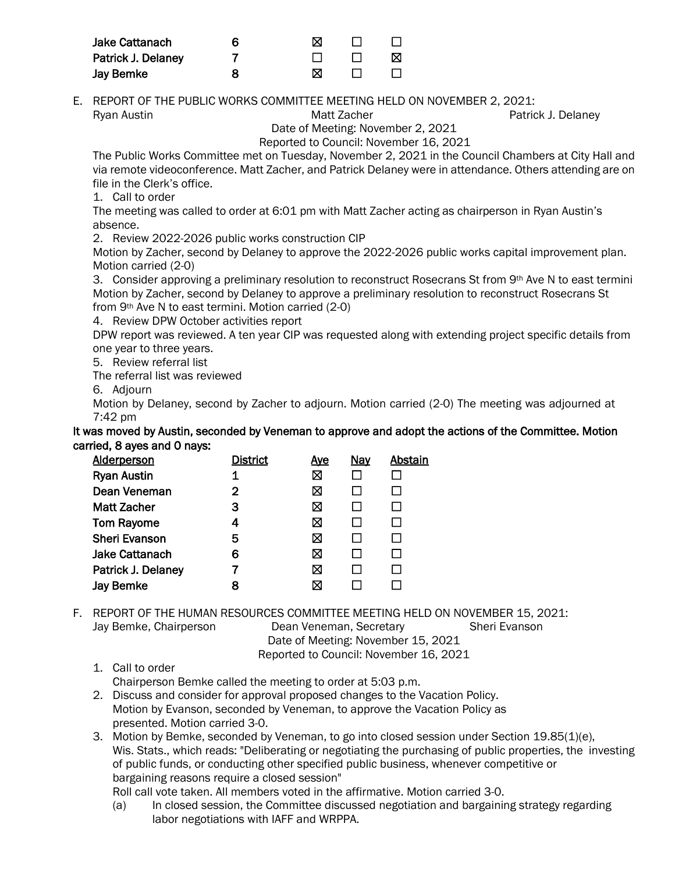| <b>Jake Cattanach</b> | ⊠ |        |   |
|-----------------------|---|--------|---|
| Patrick J. Delaney    |   | $\Box$ | M |
| <b>Jay Bemke</b>      | ⊠ |        |   |

E. REPORT OF THE PUBLIC WORKS COMMITTEE MEETING HELD ON NOVEMBER 2, 2021: Ryan Austin **Matt Zacher** Patrick J. Delaney **Matt Zacher** Patrick J. Delaney

Date of Meeting: November 2, 2021

Reported to Council: November 16, 2021

The Public Works Committee met on Tuesday, November 2, 2021 in the Council Chambers at City Hall and via remote videoconference. Matt Zacher, and Patrick Delaney were in attendance. Others attending are on file in the Clerk's office.

1. Call to order

The meeting was called to order at 6:01 pm with Matt Zacher acting as chairperson in Ryan Austin's absence.

2. Review 2022-2026 public works construction CIP

Motion by Zacher, second by Delaney to approve the 2022-2026 public works capital improvement plan. Motion carried (2-0)

3. Consider approving a preliminary resolution to reconstruct Rosecrans St from 9th Ave N to east termini Motion by Zacher, second by Delaney to approve a preliminary resolution to reconstruct Rosecrans St from 9th Ave N to east termini. Motion carried (2-0)

4. Review DPW October activities report

DPW report was reviewed. A ten year CIP was requested along with extending project specific details from one year to three years.

5. Review referral list

The referral list was reviewed

6. Adjourn

Motion by Delaney, second by Zacher to adjourn. Motion carried (2-0) The meeting was adjourned at 7:42 pm

It was moved by Austin, seconded by Veneman to approve and adopt the actions of the Committee. Motion carried, 8 ayes and 0 nays:

| <b>Alderperson</b>    | <b>District</b> | <u>Aye</u> | <b>Nay</b> | Abstain |
|-----------------------|-----------------|------------|------------|---------|
| <b>Ryan Austin</b>    | 1               | ⊠          |            |         |
| Dean Veneman          | 2               | ⊠          |            |         |
| <b>Matt Zacher</b>    | 3               | ⊠          |            |         |
| <b>Tom Rayome</b>     | 4               | ⊠          |            |         |
| <b>Sheri Evanson</b>  | 5               | ⊠          |            |         |
| <b>Jake Cattanach</b> | 6               | ⊠          |            |         |
| Patrick J. Delaney    |                 | ⊠          |            |         |
| <b>Jay Bemke</b>      | 8               | ⊠          |            |         |
|                       |                 |            |            |         |

F. REPORT OF THE HUMAN RESOURCES COMMITTEE MEETING HELD ON NOVEMBER 15, 2021:

Jay Bemke, Chairperson Dean Veneman, Secretary Sheri Evanson Date of Meeting: November 15, 2021 Reported to Council: November 16, 2021

1. Call to order

Chairperson Bemke called the meeting to order at 5:03 p.m.

- 2. Discuss and consider for approval proposed changes to the Vacation Policy. Motion by Evanson, seconded by Veneman, to approve the Vacation Policy as presented. Motion carried 3-0.
- 3. Motion by Bemke, seconded by Veneman, to go into closed session under Section 19.85(1)(e), Wis. Stats., which reads: "Deliberating or negotiating the purchasing of public properties, the investing of public funds, or conducting other specified public business, whenever competitive or bargaining reasons require a closed session"

Roll call vote taken. All members voted in the affirmative. Motion carried 3-0.

(a) In closed session, the Committee discussed negotiation and bargaining strategy regarding labor negotiations with IAFF and WRPPA.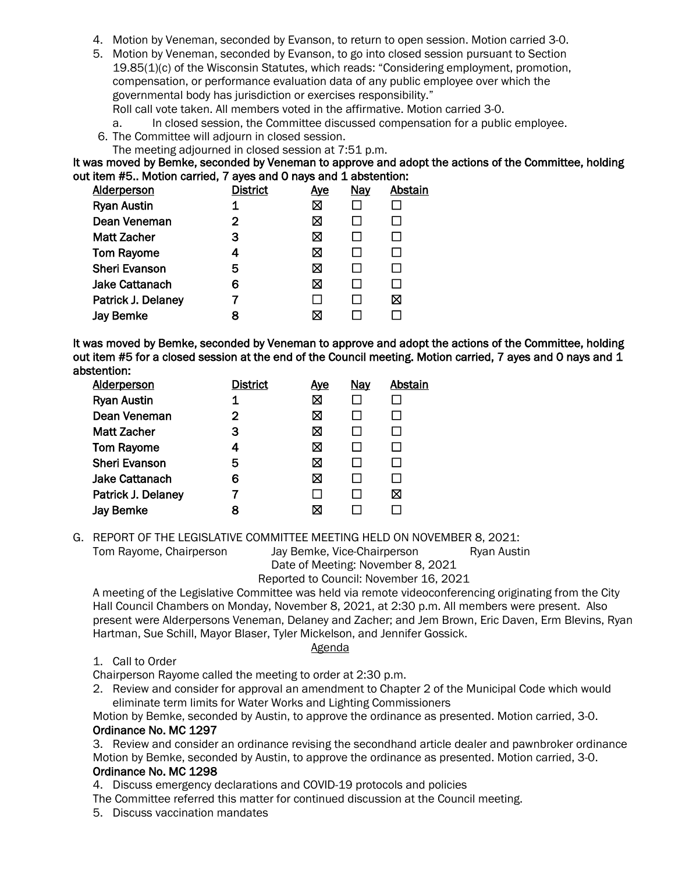- 4. Motion by Veneman, seconded by Evanson, to return to open session. Motion carried 3-0.
- 5. Motion by Veneman, seconded by Evanson, to go into closed session pursuant to Section 19.85(1)(c) of the Wisconsin Statutes, which reads: "Considering employment, promotion, compensation, or performance evaluation data of any public employee over which the governmental body has jurisdiction or exercises responsibility."

Roll call vote taken. All members voted in the affirmative. Motion carried 3-0.

a. In closed session, the Committee discussed compensation for a public employee.

- 6. The Committee will adjourn in closed session.
- The meeting adjourned in closed session at 7:51 p.m.

It was moved by Bemke, seconded by Veneman to approve and adopt the actions of the Committee, holding out item #5.. Motion carried, 7 ayes and 0 nays and 1 abstention:

| <b>Alderperson</b>    | <b>District</b> | <u>Aye</u> | <b>Nay</b> | <b>Abstain</b> |
|-----------------------|-----------------|------------|------------|----------------|
| <b>Ryan Austin</b>    |                 | ⊠          |            |                |
| Dean Veneman          | 2               | ⊠          |            |                |
| <b>Matt Zacher</b>    | 3               | ⊠          |            |                |
| <b>Tom Rayome</b>     | 4               | ⊠          |            |                |
| <b>Sheri Evanson</b>  | 5               | ⊠          |            |                |
| <b>Jake Cattanach</b> | 6               | ⊠          |            |                |
| Patrick J. Delaney    |                 | l.         |            | ⊠              |
| <b>Jay Bemke</b>      | 8               | ⊠          |            |                |
|                       |                 |            |            |                |

It was moved by Bemke, seconded by Veneman to approve and adopt the actions of the Committee, holding out item #5 for a closed session at the end of the Council meeting. Motion carried, 7 ayes and 0 nays and 1 abstention:

| <b>Alderperson</b>    | <b>District</b> | <u>Aye</u> | <b>Nay</b> | Abstain |
|-----------------------|-----------------|------------|------------|---------|
| <b>Ryan Austin</b>    | 1               | 区          |            |         |
| Dean Veneman          | 2               | ⊠          |            |         |
| <b>Matt Zacher</b>    | 3               | ⊠          |            |         |
| <b>Tom Rayome</b>     | 4               | ⊠          |            |         |
| <b>Sheri Evanson</b>  | 5               | ⊠          |            |         |
| <b>Jake Cattanach</b> | 6               | ⊠          |            |         |
| Patrick J. Delaney    |                 | l 1        |            | ⊠       |
| <b>Jay Bemke</b>      | 8               | ⊠          |            |         |

G. REPORT OF THE LEGISLATIVE COMMITTEE MEETING HELD ON NOVEMBER 8, 2021:

Tom Rayome, Chairperson Jay Bemke, Vice-Chairperson Ryan Austin

Date of Meeting: November 8, 2021

## Reported to Council: November 16, 2021

A meeting of the Legislative Committee was held via remote videoconferencing originating from the City Hall Council Chambers on Monday, November 8, 2021, at 2:30 p.m. All members were present. Also present were Alderpersons Veneman, Delaney and Zacher; and Jem Brown, Eric Daven, Erm Blevins, Ryan Hartman, Sue Schill, Mayor Blaser, Tyler Mickelson, and Jennifer Gossick.

## Agenda

1. Call to Order

Chairperson Rayome called the meeting to order at 2:30 p.m.

2. Review and consider for approval an amendment to Chapter 2 of the Municipal Code which would eliminate term limits for Water Works and Lighting Commissioners

Motion by Bemke, seconded by Austin, to approve the ordinance as presented. Motion carried, 3-0. Ordinance No. MC 1297

3. Review and consider an ordinance revising the secondhand article dealer and pawnbroker ordinance Motion by Bemke, seconded by Austin, to approve the ordinance as presented. Motion carried, 3-0.

## Ordinance No. MC 1298

4. Discuss emergency declarations and COVID-19 protocols and policies

The Committee referred this matter for continued discussion at the Council meeting.

5. Discuss vaccination mandates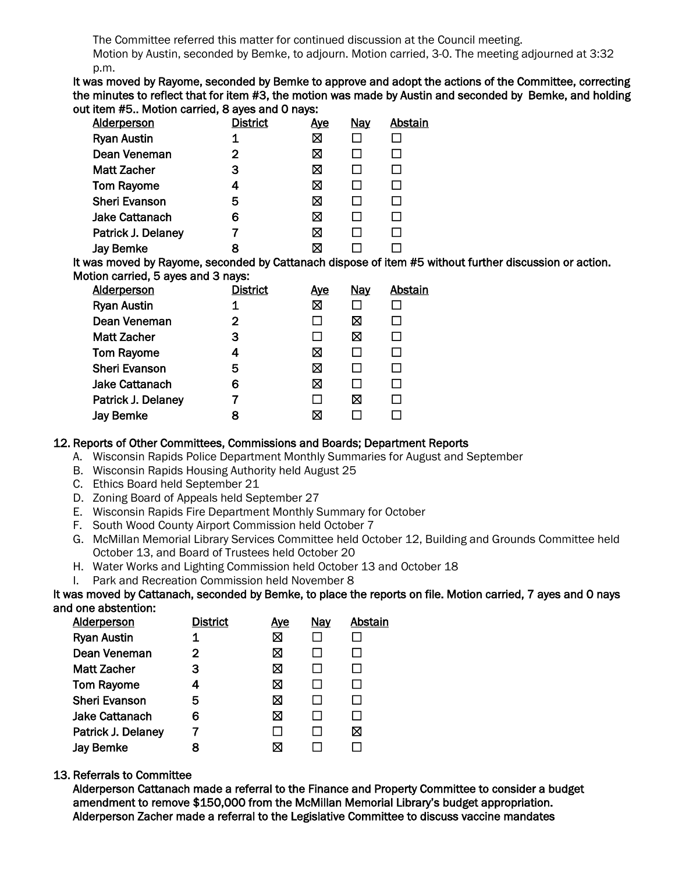The Committee referred this matter for continued discussion at the Council meeting.

Motion by Austin, seconded by Bemke, to adjourn. Motion carried, 3-0. The meeting adjourned at 3:32 p.m.

It was moved by Rayome, seconded by Bemke to approve and adopt the actions of the Committee, correcting the minutes to reflect that for item #3, the motion was made by Austin and seconded by Bemke, and holding out item #5.. Motion carried, 8 ayes and 0 nays:

| <b>Alderperson</b>    | <u>District</u> | <u>Aye</u> | <b>Nay</b> | Abstain |
|-----------------------|-----------------|------------|------------|---------|
| <b>Ryan Austin</b>    | 1               | ⊠          |            |         |
| Dean Veneman          | 2               | ⊠          |            |         |
| <b>Matt Zacher</b>    | 3               | 区          |            |         |
| <b>Tom Rayome</b>     | 4               | ⊠          |            |         |
| <b>Sheri Evanson</b>  | 5               | ⊠          |            |         |
| <b>Jake Cattanach</b> | 6               | X          |            |         |
| Patrick J. Delaney    |                 | ⊠          |            |         |
| <b>Jay Bemke</b>      | 8               | ⊠          |            |         |

It was moved by Rayome, seconded by Cattanach dispose of item #5 without further discussion or action. Motion carried, 5 ayes and 3 nays:

| <b>Alderperson</b>    | <b>District</b> | <u>Ave</u>   | <b>Nay</b> | Abstain |
|-----------------------|-----------------|--------------|------------|---------|
| <b>Ryan Austin</b>    | 1               | ⊠            |            |         |
| Dean Veneman          | $\mathbf{2}$    | ΙI           | ⊠          |         |
| <b>Matt Zacher</b>    | 3               | l 1          | ⊠          |         |
| <b>Tom Rayome</b>     | 4               | ⊠            |            |         |
| <b>Sheri Evanson</b>  | 5               | ⊠            |            |         |
| <b>Jake Cattanach</b> | 6               | ⊠            |            |         |
| Patrick J. Delaney    |                 | $\mathbf{I}$ | ⊠          |         |
| <b>Jay Bemke</b>      | 8               | ⊠            |            |         |

## 12. Reports of Other Committees, Commissions and Boards; Department Reports

- A. Wisconsin Rapids Police Department Monthly Summaries for August and September
- B. Wisconsin Rapids Housing Authority held August 25
- C. Ethics Board held September 21
- D. Zoning Board of Appeals held September 27
- E. Wisconsin Rapids Fire Department Monthly Summary for October
- F. South Wood County Airport Commission held October 7
- G. McMillan Memorial Library Services Committee held October 12, Building and Grounds Committee held October 13, and Board of Trustees held October 20
- H. Water Works and Lighting Commission held October 13 and October 18
- I. Park and Recreation Commission held November 8

#### It was moved by Cattanach, seconded by Bemke, to place the reports on file. Motion carried, 7 ayes and 0 nays and one abstention:

| <b>Alderperson</b>   | <b>District</b> | <u>Aye</u>   | <b>Nay</b> | Abstain |
|----------------------|-----------------|--------------|------------|---------|
| <b>Ryan Austin</b>   |                 | ⊠            |            |         |
| Dean Veneman         | 2               | ⊠            |            |         |
| <b>Matt Zacher</b>   | 3               | ⊠            |            |         |
| <b>Tom Rayome</b>    | 4               | ⊠            |            |         |
| <b>Sheri Evanson</b> | 5               | ⊠            |            |         |
| Jake Cattanach       | 6               | ⊠            |            |         |
| Patrick J. Delaney   |                 | $\mathbf{I}$ |            | ⊠       |
| <b>Jay Bemke</b>     | Я               | ⋈            |            |         |

## 13. Referrals to Committee

Alderperson Cattanach made a referral to the Finance and Property Committee to consider a budget amendment to remove \$150,000 from the McMillan Memorial Library's budget appropriation. Alderperson Zacher made a referral to the Legislative Committee to discuss vaccine mandates